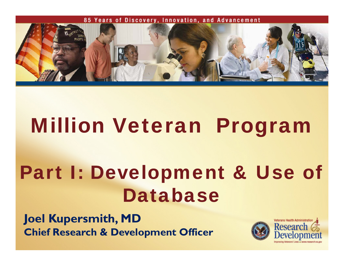

# Million Veteran Program

# Part I: Development & Use of Database

**Joel Kupersmith, MD Chief Research & Development Officer**

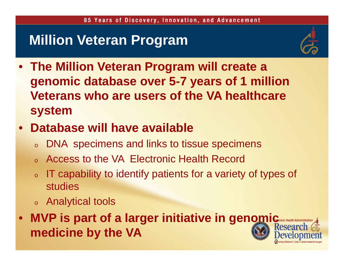### **Million Veteran Program**



- **The Million Veteran Program will create a genomic database over 5-7 years of 1 million Veterans who are users of the VA healthcare system**
- $\bullet$  **Database will have available** 
	- oDNA specimens and links to tissue specimens
	- oAccess to the VA Electronic Health Record
	- o IT capability to identify patients for a variety of types of studies
	- $\circ$  Analytical tools
- $\bullet$ **MVP** is part of a larger initiative in genomic Research **medicine by the VA** 2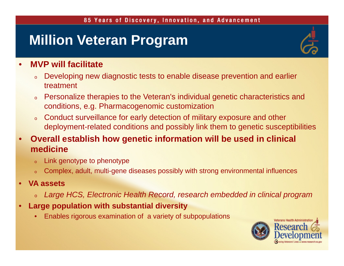## **Million Veteran Program**



#### •**MVP will facilitate**

- o Developing new diagnostic tests to enable disease prevention and earlier treatment
- o Personalize therapies to the Veteran's individual genetic characteristics and conditions, e.g. Pharmacogenomic customization
- o Conduct surveillance for early detection of military exposure and other deployment-related conditions and possibly link them to genetic susceptibilities
- • **Overall establish how genetic information will be used in clinical medicine**
	- oLink genotype to phenotype
	- oComplex, adult, multi-gene diseases possibly with strong environmental influences
- • **VA assets**
	- $\,{}$ 。 Large HCS, Electronic Health Record, research embedded in clinical program
- • **Large population with substantial diversity**
	- •Enables rigorous examination of a variety of subpopulations

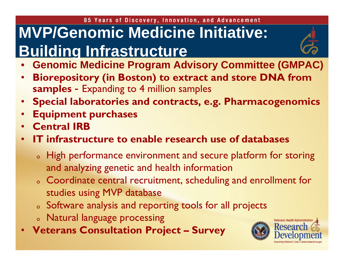### 85 Years of Discovery, Innovation, and Advancement **MVP/Genomic Medicine Initiative: Building Infrastructure**



- • **Biorepository (in Boston) to extract and store DNA from samples** - Expanding to 4 million samples
- **Special laboratories and contracts, e.g. Pharmacogenomics**
- •**Equipment purchases**
- •**Central IRB**
- • **IT infrastructure to enable research use of databases**
	- o High performance environment and secure platform for storing and analyzing genetic and health information
	- $\circ$  Coordinate central recruitment, scheduling and enrollment for  $\circ$ studies using MVP database
	- $\circ$  Software analysis and reporting tools for all projects
	- o Natural language processing
- **Veterans Consultation Project – Survey**

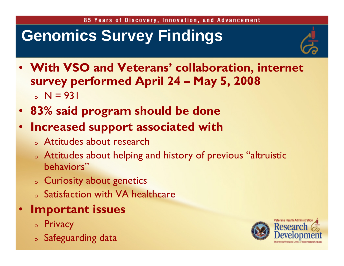# **Genomics Survey Findings**



- **With VSO and Veterans' collaboration, internet survey performed April 24 – May 5, 2008** o N = 931
- **83% said program should be done**
- • **Increased support associated with**
	- o Attitudes about research
	- o Attitudes about helping and history of previous "altruistic behaviors"
	- o Curiosity about genetics
	- $\circ$  Satisfaction with VA healthcare
- • **Important issues**
	- o Privacy
	- o Safeguarding data

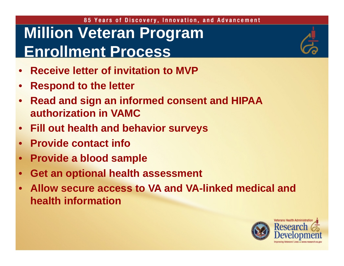### 85 Years of Discovery, Innovation, and Advancement **Million Veteran Program Enrollment Process**

- •**Receive letter of invitation to MVP**
- •**Respond to the letter**
- • **Read and sign an informed consent and HIPAA authorization in VAMC**
- •**Fill out health and behavior surveys**
- •**Provide contact info**
- •**Provide a blood sample**
- •**Get an optional health assessment**
- • **Allow secure access to VA and VA-linked medical and health information**



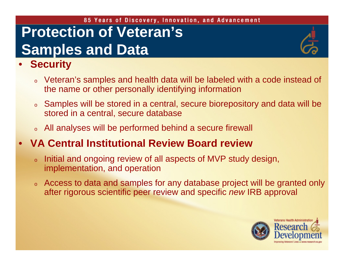### 85 Years of Discovery, Innovation, and Advancement **Protection of Veteran's Samples and Data**

#### •**Security**

- o Veteran's samples and health data will be labeled with a code instead of the name or other personally identifying information
- o Samples will be stored in a central, secure biorepository and data will be stored in a central, secure database
- o All analyses will be performed behind a secure firewall

#### •**VA Central Institutional Review Board review**

- o Initial and ongoing review of all aspects of MVP study design, implementation, and operation
- o Access to data and samples for any database project will be granted only after rigorous scientific peer review and specific *new* IRB approval

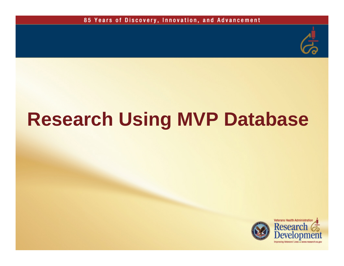

# **Research Using MVP Database**

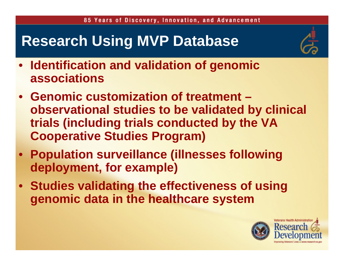## **Research Using MVP Database**



- $\bullet$  **Identification and validation of genomic associations**
- **Genomic customization of treatment –observational studies to be validated by clinical trials (including trials conducted by the VA Cooperative Studies Program)**
- **Population surveillance (illnesses following deployment, for example)**
- **Studies validating the effectiveness of using genomic data in the healthcare system**

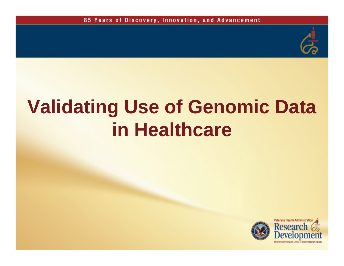

# **Validating Use of Genomic Data in Healthcare**

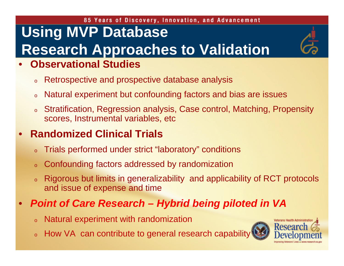### 85 Years of Discovery, Innovation, and Advancement **Using MVP Database Research Approaches to Validation**

#### •**Observational Studies**

- oRetrospective and prospective database analysis
- oNatural experiment but confounding factors and bias are issues
- o Stratification, Regression analysis, Case control, Matching, Propensity scores, Instrumental variables, etc

#### •**Randomized Clinical Trials**

- oTrials performed under strict "laboratory" conditions
- oConfounding factors addressed by randomization
- o Rigorous but limits in generalizability and applicability of RCT protocols and issue of expense and time

#### •*Point of Care Research – Hybrid being piloted in VA*

- oNatural experiment with randomization
- 。 How VA can contribute to general research capability

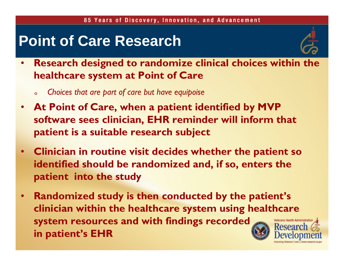## **Point of Care Research**



- $\bullet$  **Research designed to randomize clinical choices within the healthcare system at Point of Care**
	- o*Choices that are part of care but have equipoise*
- • **At Point of Care, when a patient identified by MVP software sees clinician, EHR reminder will inform that patient is a suitable research subject**
- $\bullet$  **Clinician in routine visit decides whether the patient so identified should be randomized and, if so, enters the patient into the study**
- **Randomized study is then conducted by the patient's**  •**clinician within the healthcare system using healthcare system resources and with findings recorded Researc in patient's EHR**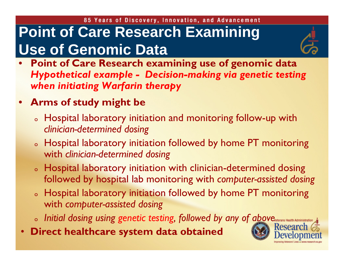# **Point of Care Research Examining Use of Genomic Data**



- • **Point of Care Research examining use of genomic data**  *Hypothetical example - Decision-making via genetic testing when initiating Warfarin therapy*
- **Arms of study might be**
	- $\,$  Hospital laboratory initiation and monitoring follow-up with  $\,$ *clinician-determined dosing*
	- $\,$  Hospital laboratory initiation followed by home PT monitoring  $\,$ with *clinician-determined dosing*
	- $\,$  Hospital laboratory initiation with clinician-determined dosing  $\,$ followed by hospital lab monitoring with *computer-assisted dosing*
	- $\, \circ \,$  Hospital laboratory initiation followed by home PT monitoring  $\,$ with *computer-assisted dosing*
	- o *Initial dosing using genetic testing, followed by any of above*
- •**Direct healthcare system data obtained**

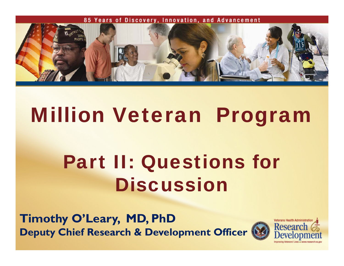

# Million Veteran Program

# Part II: Questions for **Discussion**

**Timothy O'Leary, MD, PhD Deputy Chief Research & Development Officer** 

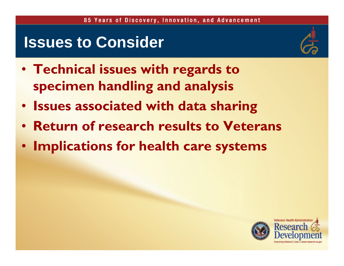## **Issues to Consider**



- **Technical issues with regards to specimen handling and analysis**
- **Issues associated with data sharing**
- **Return of research results to Veterans**
- **Implications for health care systems**

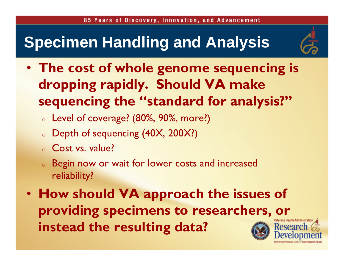# **Specimen Handling and Analysis**



- **The cost of whole genome sequencing is dropping rapidly. Should VA make sequencing the "standard for analysis?"**
	- o Level of coverage? (80%, 90%, more?)
	- $\,$  Depth of sequencing (40X, 200X?)
	- o Cost vs. value?
	- o Begin now or wait for lower costs and increased reliability?
- **How should VA approach the issues of providing specimens to researchers, or instead the resulting data?**Researc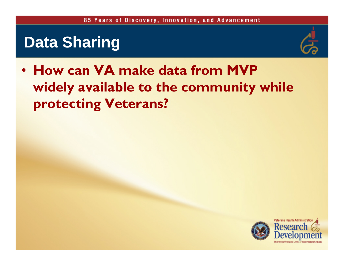## **Data Sharing**



• **How can VA make data from MVP widely available to the community while protecting Veterans?**

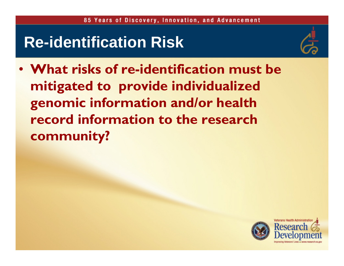# **Re-identification Risk**



• **What risks of re-identification must be mitigated to provide individualized genomic information and/or health record information to the research community?**

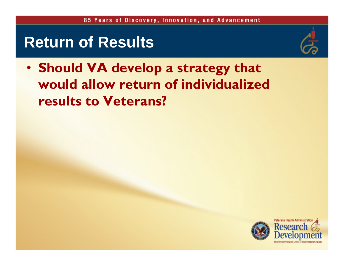## **Return of Results**



• **Should VA develop a strategy that would allow return of individualized results to Veterans?**

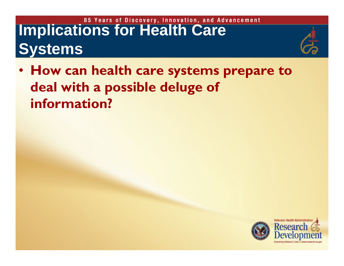# **Implications for Health Care Systems**



• **How can health care systems prepare to deal with a possible deluge of information?**